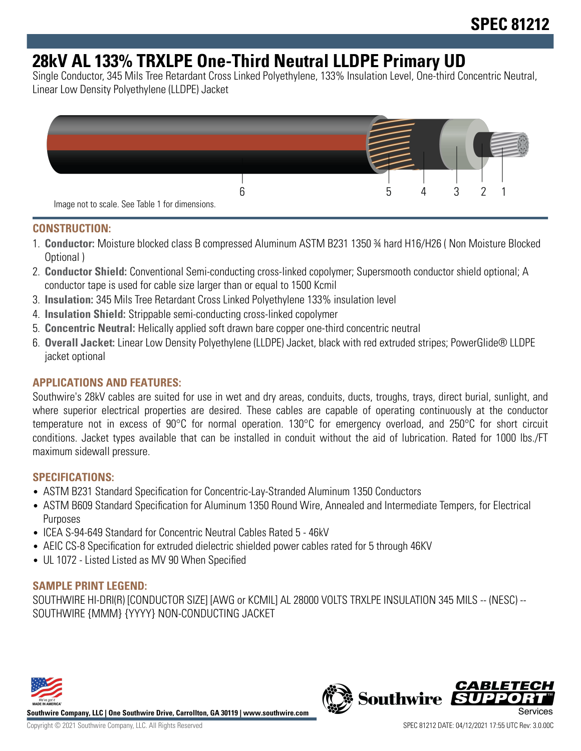# **28kV AL 133% TRXLPE One-Third Neutral LLDPE Primary UD**

Single Conductor, 345 Mils Tree Retardant Cross Linked Polyethylene, 133% Insulation Level, One-third Concentric Neutral, Linear Low Density Polyethylene (LLDPE) Jacket



#### **CONSTRUCTION:**

- 1. **Conductor:** Moisture blocked class B compressed Aluminum ASTM B231 1350 ¾ hard H16/H26 ( Non Moisture Blocked Optional )
- 2. **Conductor Shield:** Conventional Semi-conducting cross-linked copolymer; Supersmooth conductor shield optional; A conductor tape is used for cable size larger than or equal to 1500 Kcmil
- 3. **Insulation:** 345 Mils Tree Retardant Cross Linked Polyethylene 133% insulation level
- 4. **Insulation Shield:** Strippable semi-conducting cross-linked copolymer
- 5. **Concentric Neutral:** Helically applied soft drawn bare copper one-third concentric neutral
- 6. **Overall Jacket:** Linear Low Density Polyethylene (LLDPE) Jacket, black with red extruded stripes; PowerGlide® LLDPE jacket optional

### **APPLICATIONS AND FEATURES:**

Southwire's 28kV cables are suited for use in wet and dry areas, conduits, ducts, troughs, trays, direct burial, sunlight, and where superior electrical properties are desired. These cables are capable of operating continuously at the conductor temperature not in excess of 90°C for normal operation. 130°C for emergency overload, and 250°C for short circuit conditions. Jacket types available that can be installed in conduit without the aid of lubrication. Rated for 1000 lbs./FT maximum sidewall pressure.

#### **SPECIFICATIONS:**

- ASTM B231 Standard Specification for Concentric-Lay-Stranded Aluminum 1350 Conductors
- ASTM B609 Standard Specification for Aluminum 1350 Round Wire, Annealed and Intermediate Tempers, for Electrical Purposes
- ICEA S-94-649 Standard for Concentric Neutral Cables Rated 5 46kV
- AEIC CS-8 Specification for extruded dielectric shielded power cables rated for 5 through 46KV
- UL 1072 Listed Listed as MV 90 When Specified

### **SAMPLE PRINT LEGEND:**

SOUTHWIRE HI-DRI(R) [CONDUCTOR SIZE] [AWG or KCMIL] AL 28000 VOLTS TRXLPE INSULATION 345 MILS -- (NESC) -- SOUTHWIRE {MMM} {YYYY} NON-CONDUCTING JACKET



**Southwire Company, LLC | One Southwire Drive, Carrollton, GA 30119 | www.southwire.com**

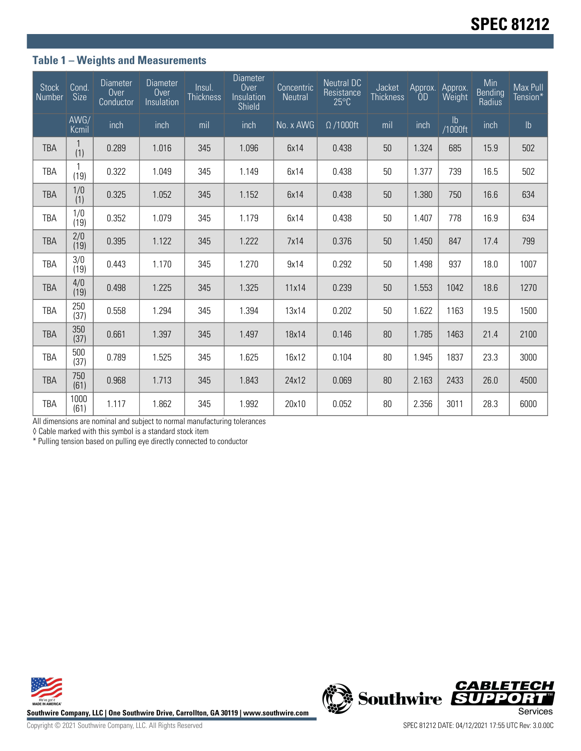## **Table 1 – Weights and Measurements**

| <b>Stock</b><br>Number | Cond<br><b>Size</b> | <b>Diameter</b><br>Over<br>Conductor | <b>Diameter</b><br>Over<br>Insulation | Insul.<br><b>Thickness</b> | <b>Diameter</b><br>Over<br>Insulation<br><b>Shield</b> | Concentric<br><b>Neutral</b> | <b>Neutral DC</b><br>Resistance<br>$25^{\circ}$ C | Jacket<br><b>Thickness</b> | Approx.<br><b>OD</b> | Approx.<br>Weight        | Min<br><b>Bending</b><br>Radius | Max Pull<br>Tension* |
|------------------------|---------------------|--------------------------------------|---------------------------------------|----------------------------|--------------------------------------------------------|------------------------------|---------------------------------------------------|----------------------------|----------------------|--------------------------|---------------------------------|----------------------|
|                        | AWG/<br>Kcmil       | inch                                 | inch                                  | mil                        | inch                                                   | No. x AWG                    | $\Omega$ /1000ft                                  | mil                        | inch                 | $\mathsf{lb}$<br>/1000ft | inch                            | $\mathsf{lb}$        |
| <b>TBA</b>             | (1)                 | 0.289                                | 1.016                                 | 345                        | 1.096                                                  | 6x14                         | 0.438                                             | 50                         | 1.324                | 685                      | 15.9                            | 502                  |
| TBA                    | (19)                | 0.322                                | 1.049                                 | 345                        | 1.149                                                  | 6x14                         | 0.438                                             | 50                         | 1.377                | 739                      | 16.5                            | 502                  |
| <b>TBA</b>             | 1/0<br>(1)          | 0.325                                | 1.052                                 | 345                        | 1.152                                                  | 6x14                         | 0.438                                             | 50                         | 1.380                | 750                      | 16.6                            | 634                  |
| TBA                    | 1/0<br>(19)         | 0.352                                | 1.079                                 | 345                        | 1.179                                                  | 6x14                         | 0.438                                             | 50                         | 1.407                | 778                      | 16.9                            | 634                  |
| <b>TBA</b>             | 2/0<br>(19)         | 0.395                                | 1.122                                 | 345                        | 1.222                                                  | 7x14                         | 0.376                                             | 50                         | 1.450                | 847                      | 17.4                            | 799                  |
| TBA                    | 3/0<br>(19)         | 0.443                                | 1.170                                 | 345                        | 1.270                                                  | 9x14                         | 0.292                                             | 50                         | 1.498                | 937                      | 18.0                            | 1007                 |
| <b>TBA</b>             | 4/0<br>(19)         | 0.498                                | 1.225                                 | 345                        | 1.325                                                  | 11x14                        | 0.239                                             | 50                         | 1.553                | 1042                     | 18.6                            | 1270                 |
| TBA                    | 250<br>(37)         | 0.558                                | 1.294                                 | 345                        | 1.394                                                  | 13x14                        | 0.202                                             | 50                         | 1.622                | 1163                     | 19.5                            | 1500                 |
| <b>TBA</b>             | 350<br>(37)         | 0.661                                | 1.397                                 | 345                        | 1.497                                                  | 18x14                        | 0.146                                             | 80                         | 1.785                | 1463                     | 21.4                            | 2100                 |
| TBA                    | 500<br>(37)         | 0.789                                | 1.525                                 | 345                        | 1.625                                                  | 16x12                        | 0.104                                             | 80                         | 1.945                | 1837                     | 23.3                            | 3000                 |
| <b>TBA</b>             | 750<br>(61)         | 0.968                                | 1.713                                 | 345                        | 1.843                                                  | 24x12                        | 0.069                                             | 80                         | 2.163                | 2433                     | 26.0                            | 4500                 |
| TBA                    | 1000<br>(61)        | 1.117                                | 1.862                                 | 345                        | 1.992                                                  | 20x10                        | 0.052                                             | 80                         | 2.356                | 3011                     | 28.3                            | 6000                 |

All dimensions are nominal and subject to normal manufacturing tolerances

◊ Cable marked with this symbol is a standard stock item

\* Pulling tension based on pulling eye directly connected to conductor



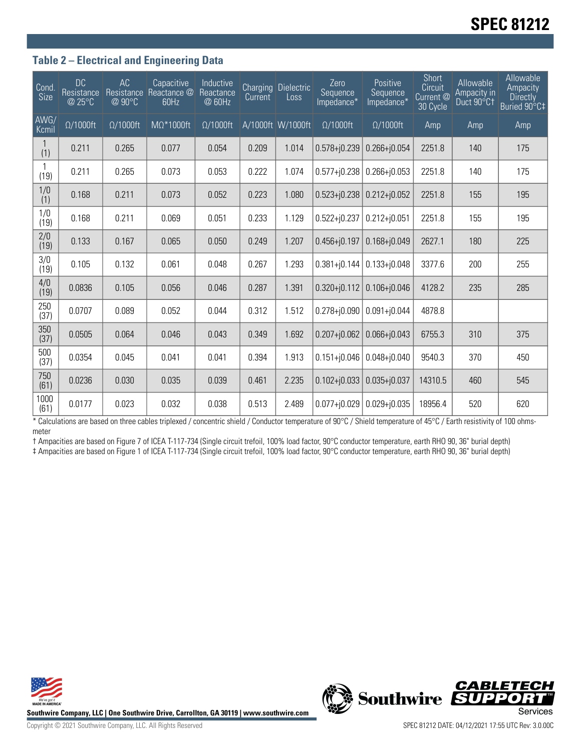# **SPEC 81212**

#### **Table 2 – Electrical and Engineering Data**

| Cond<br>Size  | <b>DC</b><br>Resistance<br>@ 25°C | AC<br>Resistance<br>@90°C | Capacitive<br>Reactance @<br>60Hz | Inductive<br>Reactance<br>@ 60Hz | Current | <b>Charging Dielectric</b><br>Loss | Zero<br>Sequence<br>Impedance* | Positive<br>Sequence<br>Impedance* | Short<br>Circuit<br>Current @<br>30 Cycle | Allowable<br>Ampacity in<br>Duct 90°C1 | Allowable<br>Ampacity<br><b>Directly</b><br>Buried 90°C‡ |
|---------------|-----------------------------------|---------------------------|-----------------------------------|----------------------------------|---------|------------------------------------|--------------------------------|------------------------------------|-------------------------------------------|----------------------------------------|----------------------------------------------------------|
| AWG/<br>Kcmil | $\Omega/1000$ ft                  | $\Omega/1000$ ft          | $M\Omega^*1000$ ft                | $\Omega/1000$ ft                 |         | A/1000ft W/1000ft                  | $\Omega/1000$ ft               | $\Omega/1000$ ft                   | Amp                                       | Amp                                    | <b>Amp</b>                                               |
| (1)           | 0.211                             | 0.265                     | 0.077                             | 0.054                            | 0.209   | 1.014                              | $0.578 + j0.239$               | $0.266 + 0.054$                    | 2251.8                                    | 140                                    | 175                                                      |
| (19)          | 0.211                             | 0.265                     | 0.073                             | 0.053                            | 0.222   | 1.074                              | $0.577 + j0.238$               | $0.266 + j0.053$                   | 2251.8                                    | 140                                    | 175                                                      |
| 1/0<br>(1)    | 0.168                             | 0.211                     | 0.073                             | 0.052                            | 0.223   | 1.080                              | $0.523 + 0.238$                | $0.212 + 0.052$                    | 2251.8                                    | 155                                    | 195                                                      |
| 1/0<br>(19)   | 0.168                             | 0.211                     | 0.069                             | 0.051                            | 0.233   | 1.129                              | $0.522 + j0.237$               | $0.212 + j0.051$                   | 2251.8                                    | 155                                    | 195                                                      |
| 2/0<br>(19)   | 0.133                             | 0.167                     | 0.065                             | 0.050                            | 0.249   | 1.207                              | $0.456 + j0.197$               | $0.168 + j0.049$                   | 2627.1                                    | 180                                    | 225                                                      |
| 3/0<br>(19)   | 0.105                             | 0.132                     | 0.061                             | 0.048                            | 0.267   | 1.293                              | $0.381 + 0.144$                | $0.133 + j0.048$                   | 3377.6                                    | 200                                    | 255                                                      |
| 4/0<br>(19)   | 0.0836                            | 0.105                     | 0.056                             | 0.046                            | 0.287   | 1.391                              | $0.320 + j0.112$               | $0.106 + j0.046$                   | 4128.2                                    | 235                                    | 285                                                      |
| 250<br>(37)   | 0.0707                            | 0.089                     | 0.052                             | 0.044                            | 0.312   | 1.512                              | $0.278 + j0.090$               | $0.091 + j0.044$                   | 4878.8                                    |                                        |                                                          |
| 350<br>(37)   | 0.0505                            | 0.064                     | 0.046                             | 0.043                            | 0.349   | 1.692                              | $0.207 + j0.062$               | $0.066 + 0.043$                    | 6755.3                                    | 310                                    | 375                                                      |
| 500<br>(37)   | 0.0354                            | 0.045                     | 0.041                             | 0.041                            | 0.394   | 1.913                              | $0.151 + j0.046$               | $0.048 + i0.040$                   | 9540.3                                    | 370                                    | 450                                                      |
| 750<br>(61)   | 0.0236                            | 0.030                     | 0.035                             | 0.039                            | 0.461   | 2.235                              | $0.102 + j0.033$               | $0.035 + j0.037$                   | 14310.5                                   | 460                                    | 545                                                      |
| 1000<br>(61)  | 0.0177                            | 0.023                     | 0.032                             | 0.038                            | 0.513   | 2.489                              | $0.077 + 0.029$                | $0.029 + 0.035$                    | 18956.4                                   | 520                                    | 620                                                      |

\* Calculations are based on three cables triplexed / concentric shield / Conductor temperature of 90°C / Shield temperature of 45°C / Earth resistivity of 100 ohmsmeter

† Ampacities are based on Figure 7 of ICEA T-117-734 (Single circuit trefoil, 100% load factor, 90°C conductor temperature, earth RHO 90, 36" burial depth) ‡ Ampacities are based on Figure 1 of ICEA T-117-734 (Single circuit trefoil, 100% load factor, 90°C conductor temperature, earth RHO 90, 36" burial depth)



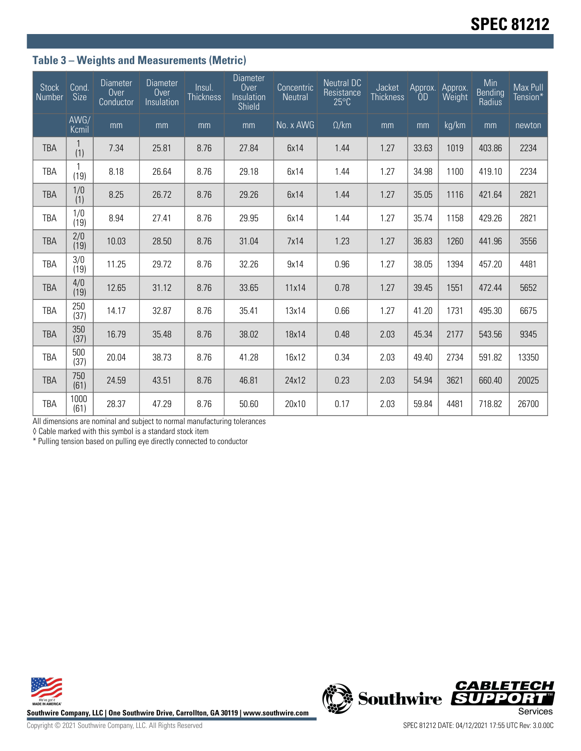## **Table 3 – Weights and Measurements (Metric)**

| <b>Stock</b><br>Number | Cond.<br><b>Size</b>  | <b>Diameter</b><br>Over<br>Conductor | <b>Diameter</b><br>Over<br>Insulation | Insul.<br><b>Thickness</b> | <b>Diameter</b><br>Over<br>Insulation<br>Shield | Concentric<br><b>Neutral</b> | <b>Neutral DC</b><br>Resistance<br>$25^{\circ}$ C | Jacket<br><b>Thickness</b> | Approx.<br>0 <sub>D</sub> | Approx.<br>Weight | Min<br><b>Bending</b><br>Radius | Max Pull<br>Tension* |
|------------------------|-----------------------|--------------------------------------|---------------------------------------|----------------------------|-------------------------------------------------|------------------------------|---------------------------------------------------|----------------------------|---------------------------|-------------------|---------------------------------|----------------------|
|                        | AWG/<br>Kcmil         | mm                                   | mm                                    | mm                         | mm                                              | No. x AWG                    | $\Omega$ /km                                      | mm                         | mm                        | kg/km             | mm                              | newton               |
| <b>TBA</b>             | (1)                   | 7.34                                 | 25.81                                 | 8.76                       | 27.84                                           | 6x14                         | 1.44                                              | 1.27                       | 33.63                     | 1019              | 403.86                          | 2234                 |
| TBA                    | (19)                  | 8.18                                 | 26.64                                 | 8.76                       | 29.18                                           | 6x14                         | 1.44                                              | 1.27                       | 34.98                     | 1100              | 419.10                          | 2234                 |
| <b>TBA</b>             | $\frac{1}{0}$         | 8.25                                 | 26.72                                 | 8.76                       | 29.26                                           | 6x14                         | 1.44                                              | 1.27                       | 35.05                     | 1116              | 421.64                          | 2821                 |
| TBA                    | 1/0<br>(19)           | 8.94                                 | 27.41                                 | 8.76                       | 29.95                                           | 6x14                         | 1.44                                              | 1.27                       | 35.74                     | 1158              | 429.26                          | 2821                 |
| <b>TBA</b>             | 2/0<br>(19)           | 10.03                                | 28.50                                 | 8.76                       | 31.04                                           | 7x14                         | 1.23                                              | 1.27                       | 36.83                     | 1260              | 441.96                          | 3556                 |
| TBA                    | $\frac{3}{0}$<br>(19) | 11.25                                | 29.72                                 | 8.76                       | 32.26                                           | 9x14                         | 0.96                                              | 1.27                       | 38.05                     | 1394              | 457.20                          | 4481                 |
| <b>TBA</b>             | 4/0<br>(19)           | 12.65                                | 31.12                                 | 8.76                       | 33.65                                           | 11x14                        | 0.78                                              | 1.27                       | 39.45                     | 1551              | 472.44                          | 5652                 |
| <b>TBA</b>             | 250<br>(37)           | 14.17                                | 32.87                                 | 8.76                       | 35.41                                           | 13x14                        | 0.66                                              | 1.27                       | 41.20                     | 1731              | 495.30                          | 6675                 |
| <b>TBA</b>             | 350<br>(37)           | 16.79                                | 35.48                                 | 8.76                       | 38.02                                           | 18x14                        | 0.48                                              | 2.03                       | 45.34                     | 2177              | 543.56                          | 9345                 |
| TBA                    | 500<br>(37)           | 20.04                                | 38.73                                 | 8.76                       | 41.28                                           | 16x12                        | 0.34                                              | 2.03                       | 49.40                     | 2734              | 591.82                          | 13350                |
| <b>TBA</b>             | 750<br>(61)           | 24.59                                | 43.51                                 | 8.76                       | 46.81                                           | 24x12                        | 0.23                                              | 2.03                       | 54.94                     | 3621              | 660.40                          | 20025                |
| <b>TBA</b>             | 1000<br>(61)          | 28.37                                | 47.29                                 | 8.76                       | 50.60                                           | 20x10                        | 0.17                                              | 2.03                       | 59.84                     | 4481              | 718.82                          | 26700                |

All dimensions are nominal and subject to normal manufacturing tolerances

◊ Cable marked with this symbol is a standard stock item

\* Pulling tension based on pulling eye directly connected to conductor





Copyright © 2021 Southwire Company, LLC. All Rights Reserved SPEC 81212 DATE: 04/12/2021 17:55 UTC Rev: 3.0.00C